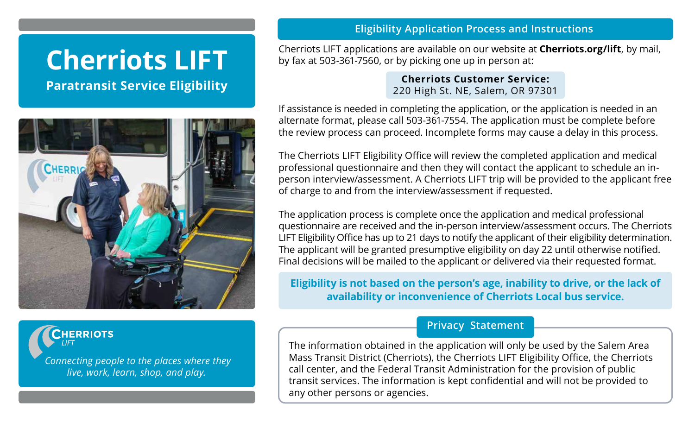# **Cherriots LIFT**

**Paratransit Service Eligibility**



**CHERRIOTS** 

*Connecting people to the places where they live, work, learn, shop, and play.*

### **Eligibility Application Process and Instructions**

Cherriots LIFT applications are available on our website at **Cherriots.org/lift**, by mail, by fax at 503-361-7560, or by picking one up in person at:

> **Cherriots Customer Service:**  220 High St. NE, Salem, OR 97301

If assistance is needed in completing the application, or the application is needed in an alternate format, please call 503-361-7554. The application must be complete before the review process can proceed. Incomplete forms may cause a delay in this process.

The Cherriots LIFT Eligibility Office will review the completed application and medical professional questionnaire and then they will contact the applicant to schedule an inperson interview/assessment. A Cherriots LIFT trip will be provided to the applicant free of charge to and from the interview/assessment if requested.

The application process is complete once the application and medical professional questionnaire are received and the in-person interview/assessment occurs. The Cherriots LIFT Eligibility Office has up to 21 days to notify the applicant of their eligibility determination. The applicant will be granted presumptive eligibility on day 22 until otherwise notified. Final decisions will be mailed to the applicant or delivered via their requested format.

**Eligibility is not based on the person's age, inability to drive, or the lack of availability or inconvenience of Cherriots Local bus service.**

## **Privacy Statement**

The information obtained in the application will only be used by the Salem Area Mass Transit District (Cherriots), the Cherriots LIFT Eligibility Office, the Cherriots call center, and the Federal Transit Administration for the provision of public transit services. The information is kept confidential and will not be provided to any other persons or agencies.